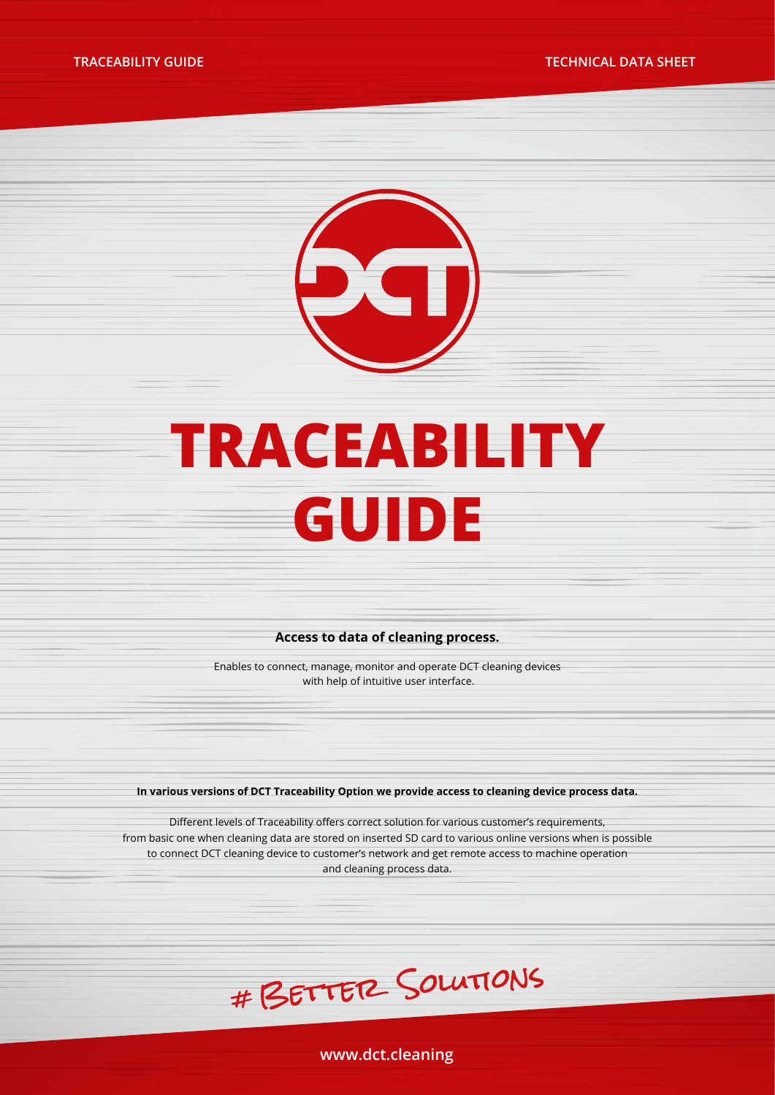**TRACEABILITY GUIDE TECHNICAL DATA SHEET**



# **TRACEABILITY GUIDE**

#### **Access to data of cleaning process.**

Enables to connect, manage, monitor and operate DCT cleaning devices with help of intuitive user interface.

**In various versions of DCT Traceability Option we provide access to cleaning device process data.** 

Different levels of Traceability offers correct solution for various customer's requirements, from basic one when cleaning data are stored on inserted SD card to various online versions when is possible to connect DCT cleaning device to customer's network and get remote access to machine operation and cleaning process data.



**www.dct.cleaning**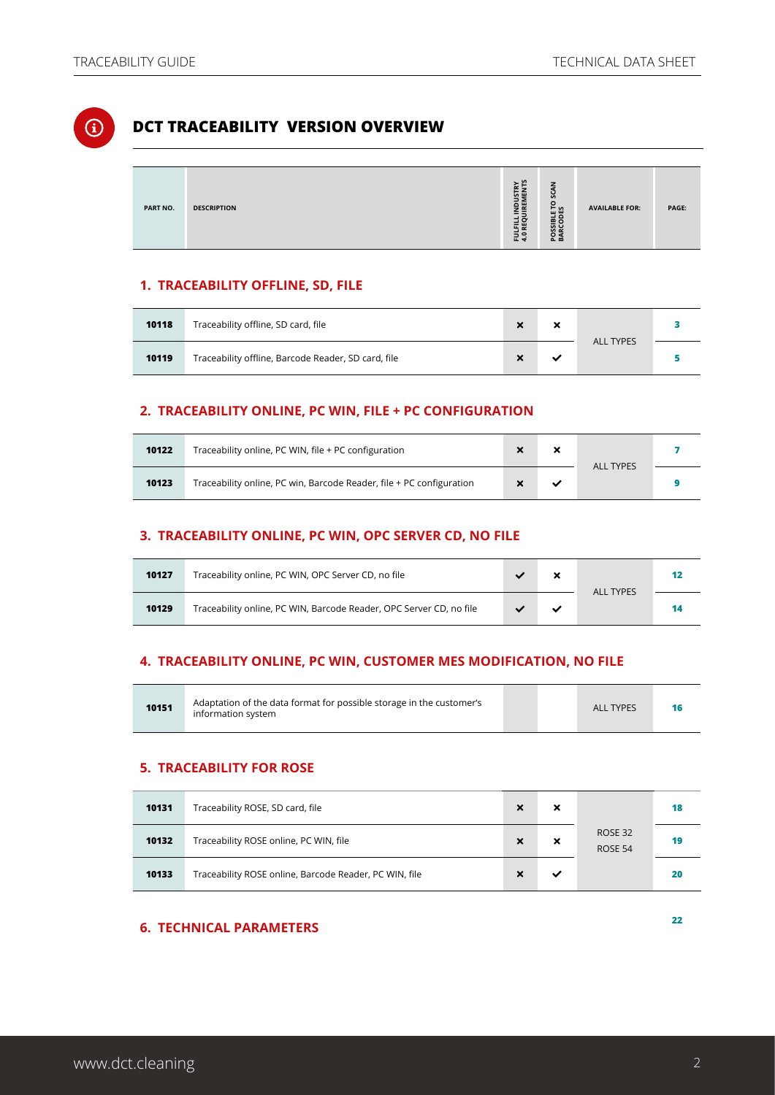## $\textcircled{\textsc{i}}$

#### **DCT TRACEABILITY VERSION OVERVIEW**

| PART NO. | <b>DESCRIPTION</b> | ≿ ≌<br>LFILL INDUSTR<br>REQUIREMEN<br>로운 | z<br>ະ<br><b>GRS</b><br>ᄒᅙ<br>ㅎ<br><b>ν</b> α<br>요중 | <b>AVAILABLE FOR:</b> | PAGE: |
|----------|--------------------|------------------------------------------|-----------------------------------------------------|-----------------------|-------|

#### **1. TRACEABILITY OFFLINE, SD, FILE**

| 10118 | Traceability offline, SD card, file                 |  | × | <b>ALL TYPES</b> |  |
|-------|-----------------------------------------------------|--|---|------------------|--|
| 10119 | Traceability offline, Barcode Reader, SD card, file |  |   |                  |  |

#### **2. TRACEABILITY ONLINE, PC WIN, FILE + PC CONFIGURATION**

| 10122 | Traceability online, PC WIN, file + PC configuration                 |  | <b>ALL TYPES</b> |  |
|-------|----------------------------------------------------------------------|--|------------------|--|
| 10123 | Traceability online, PC win, Barcode Reader, file + PC configuration |  |                  |  |

#### **3. TRACEABILITY ONLINE, PC WIN, OPC SERVER CD, NO FILE**

| 10127 | Traceability online, PC WIN, OPC Server CD, no file                 |  | <b>ALL TYPES</b> | 12 |
|-------|---------------------------------------------------------------------|--|------------------|----|
| 10129 | Traceability online, PC WIN, Barcode Reader, OPC Server CD, no file |  |                  | 14 |

#### **4. TRACEABILITY ONLINE, PC WIN, CUSTOMER MES MODIFICATION, NO FILE**

| 10151 | Adaptation of the data format for possible storage in the customer's<br>information system |  |  | <b>ALL TYPES</b> |  |
|-------|--------------------------------------------------------------------------------------------|--|--|------------------|--|
|-------|--------------------------------------------------------------------------------------------|--|--|------------------|--|

#### **5. TRACEABILITY FOR ROSE**

| 10131 | Traceability ROSE, SD card, file                       | ×                         | ×                         |                    | 18 |
|-------|--------------------------------------------------------|---------------------------|---------------------------|--------------------|----|
| 10132 | Traceability ROSE online, PC WIN, file                 | $\boldsymbol{\mathsf{x}}$ | $\boldsymbol{\mathsf{x}}$ | ROSE 32<br>ROSE 54 | 19 |
| 10133 | Traceability ROSE online, Barcode Reader, PC WIN, file |                           | ✓                         |                    | 20 |

## **6. TECHNICAL PARAMETERS [2](#page-21-0)2**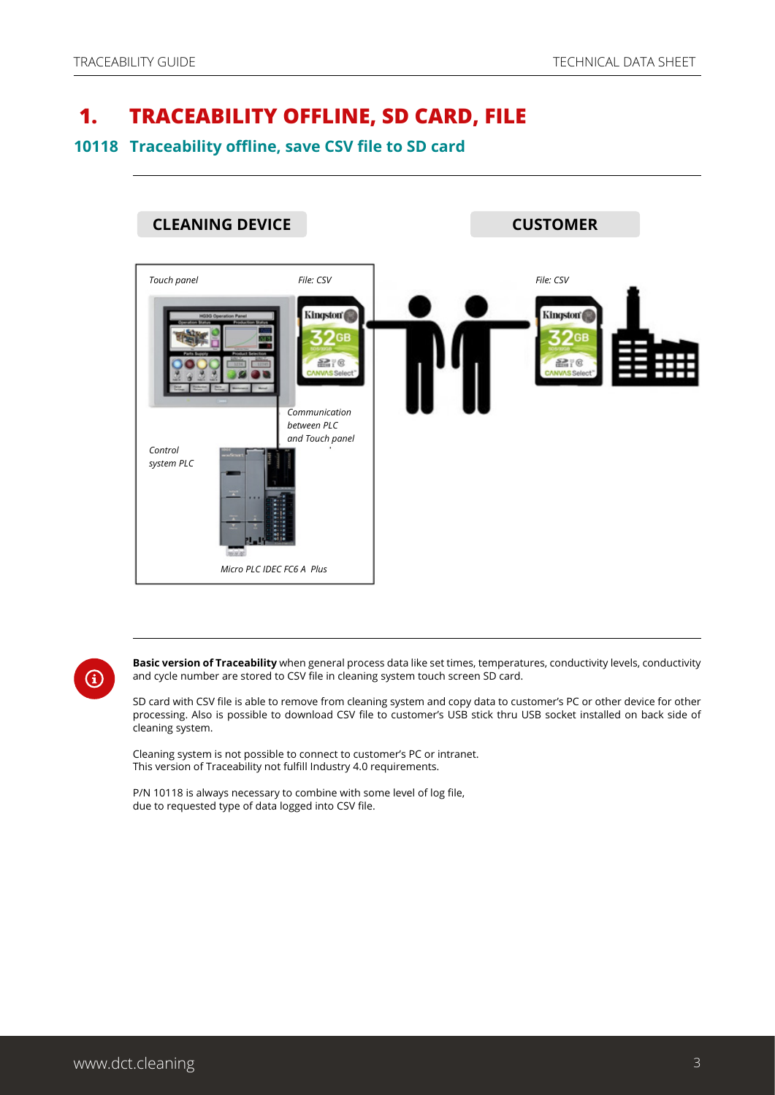## <span id="page-2-0"></span> **1. TRACEABILITY OFFLINE, SD CARD, FILE**

#### **10118 Traceability offline, save CSV file to SD card**



**Basic version of Traceability** when general process data like set times, temperatures, conductivity levels, conductivity and cycle number are stored to CSV file in cleaning system touch screen SD card.

SD card with CSV file is able to remove from cleaning system and copy data to customer's PC or other device for other processing. Also is possible to download CSV file to customer's USB stick thru USB socket installed on back side of cleaning system.

Cleaning system is not possible to connect to customer's PC or intranet. This version of Traceability not fulfill Industry 4.0 requirements.

P/N 10118 is always necessary to combine with some level of log file, due to requested type of data logged into CSV file.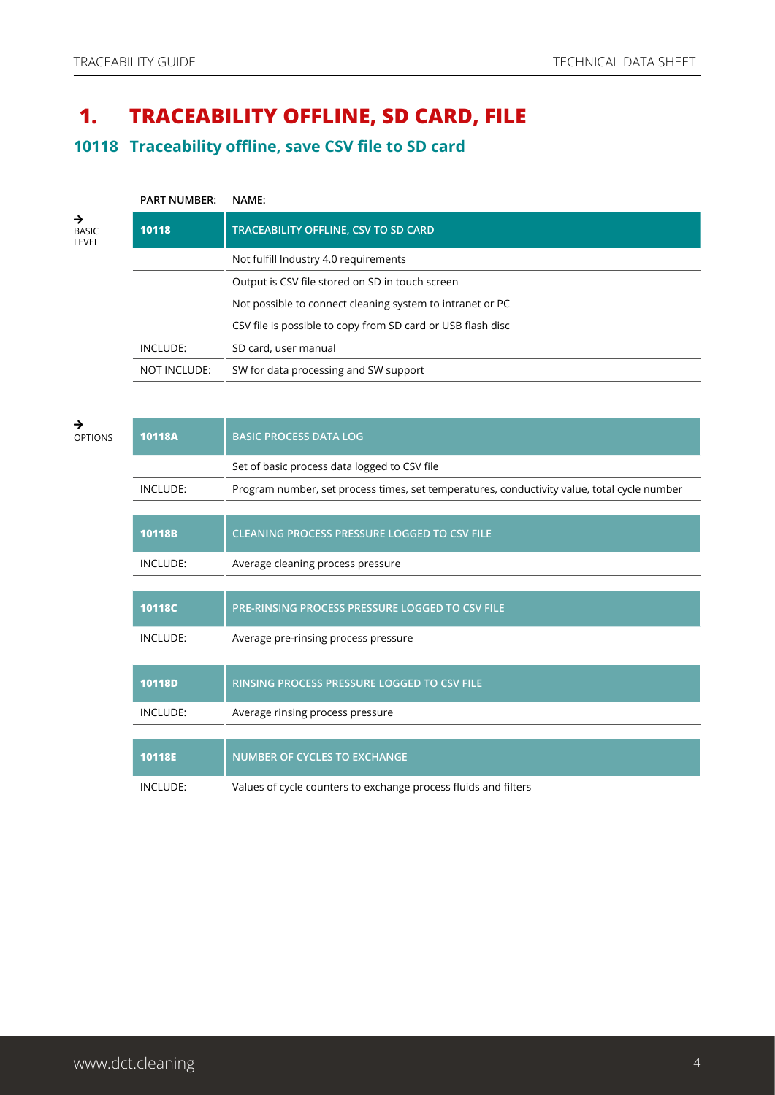## **1. TRACEABILITY OFFLINE, SD CARD, FILE**

**10118 Traceability offline, save CSV file to SD card**

|                            | <b>PART NUMBER:</b> | NAME:                                                       |
|----------------------------|---------------------|-------------------------------------------------------------|
| →<br><b>BASIC</b><br>LEVEL | 10118               | TRACEABILITY OFFLINE, CSV TO SD CARD                        |
|                            |                     | Not fulfill Industry 4.0 requirements                       |
|                            |                     | Output is CSV file stored on SD in touch screen             |
|                            |                     | Not possible to connect cleaning system to intranet or PC   |
|                            |                     | CSV file is possible to copy from SD card or USB flash disc |
|                            | INCLUDE:            | SD card, user manual                                        |
|                            | <b>NOT INCLUDE:</b> | SW for data processing and SW support                       |

| →<br><b>OPTIONS</b> | 10118A          | <b>BASIC PROCESS DATA LOG</b>                                                               |
|---------------------|-----------------|---------------------------------------------------------------------------------------------|
|                     |                 | Set of basic process data logged to CSV file                                                |
|                     | INCLUDE:        | Program number, set process times, set temperatures, conductivity value, total cycle number |
|                     |                 |                                                                                             |
|                     | <b>10118B</b>   | <b>CLEANING PROCESS PRESSURE LOGGED TO CSV FILE</b>                                         |
|                     | INCLUDE:        | Average cleaning process pressure                                                           |
|                     |                 |                                                                                             |
|                     | 10118C          | PRE-RINSING PROCESS PRESSURE LOGGED TO CSV FILE                                             |
|                     | <b>INCLUDE:</b> | Average pre-rinsing process pressure                                                        |
|                     |                 |                                                                                             |
|                     | <b>10118D</b>   | RINSING PROCESS PRESSURE LOGGED TO CSV FILE                                                 |
|                     | <b>INCLUDE:</b> | Average rinsing process pressure                                                            |
|                     |                 |                                                                                             |
|                     | 10118E          | <b>NUMBER OF CYCLES TO EXCHANGE</b>                                                         |
|                     | INCLUDE:        | Values of cycle counters to exchange process fluids and filters                             |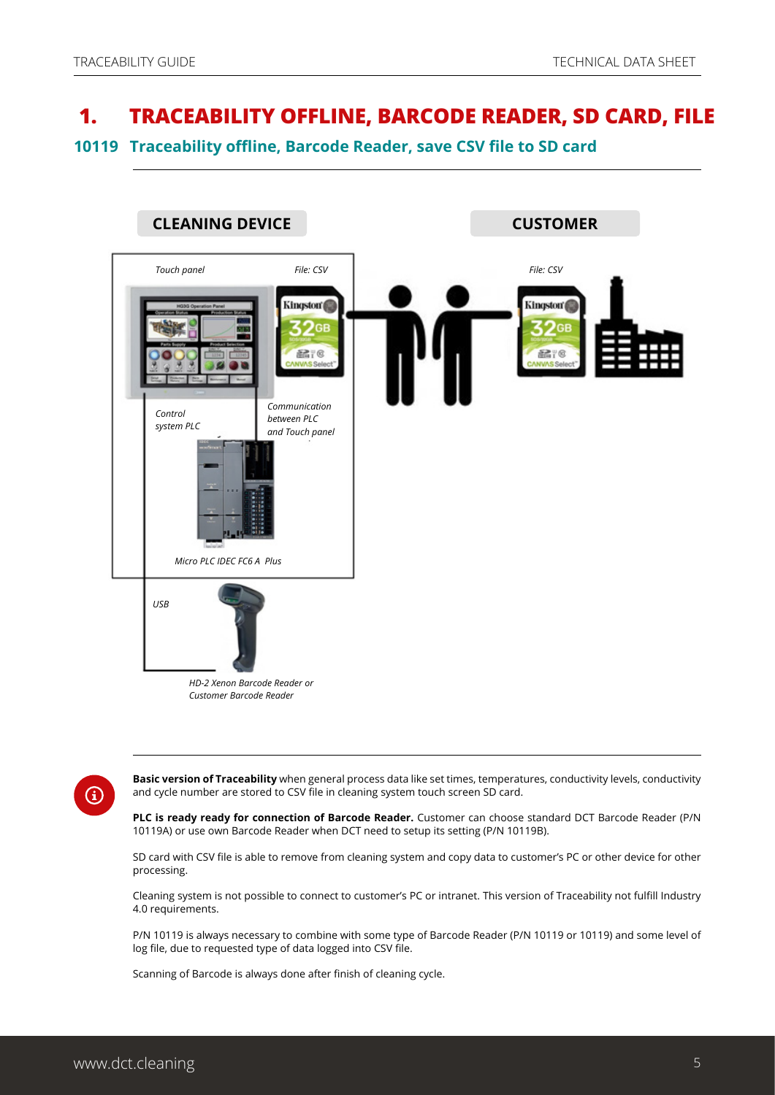## <span id="page-4-0"></span> **1. TRACEABILITY OFFLINE, BARCODE READER, SD CARD, FILE**

**10119 Traceability offline, Barcode Reader, save CSV file to SD card**



 $\bf(i)$ 

**Basic version of Traceability** when general process data like set times, temperatures, conductivity levels, conductivity and cycle number are stored to CSV file in cleaning system touch screen SD card.

**PLC is ready ready for connection of Barcode Reader.** Customer can choose standard DCT Barcode Reader (P/N 10119A) or use own Barcode Reader when DCT need to setup its setting (P/N 10119B).

SD card with CSV file is able to remove from cleaning system and copy data to customer's PC or other device for other processing.

Cleaning system is not possible to connect to customer's PC or intranet. This version of Traceability not fulfill Industry 4.0 requirements.

P/N 10119 is always necessary to combine with some type of Barcode Reader (P/N 10119 or 10119) and some level of log file, due to requested type of data logged into CSV file.

Scanning of Barcode is always done after finish of cleaning cycle.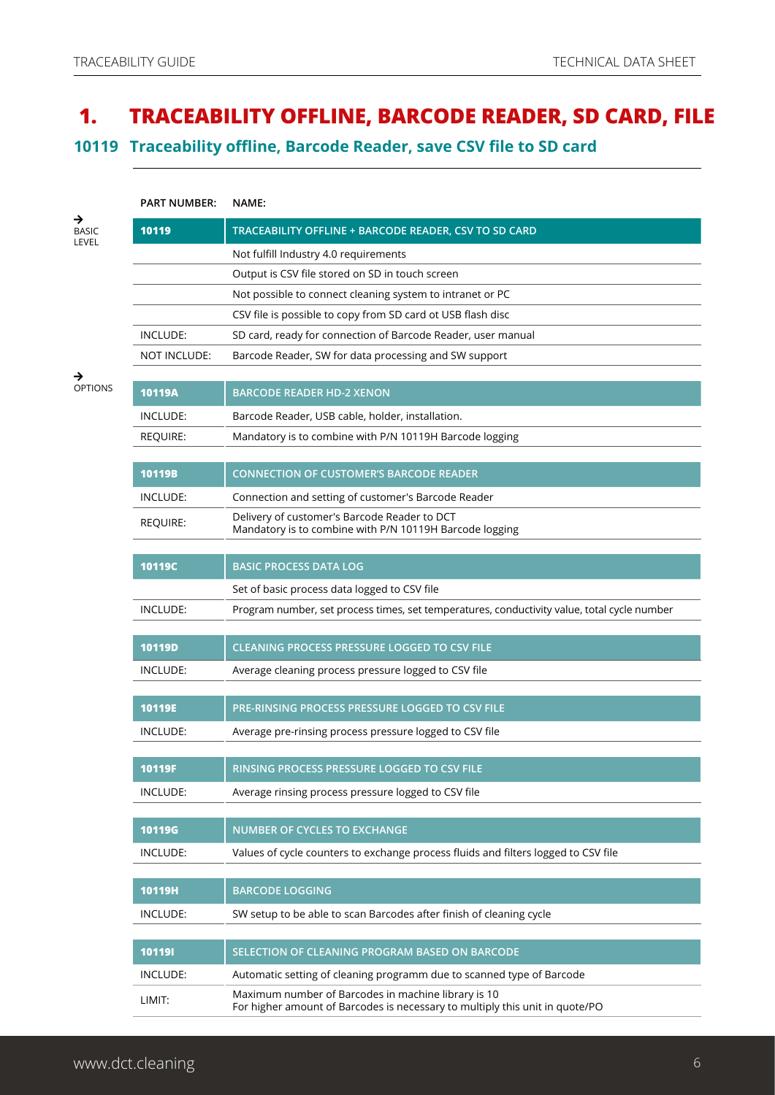## **1. TRACEABILITY OFFLINE, BARCODE READER, SD CARD, FILE**

**10119 Traceability offline, Barcode Reader, save CSV file to SD card**

|                     | <b>PART NUMBER:</b> | NAME:                                                                                                                               |
|---------------------|---------------------|-------------------------------------------------------------------------------------------------------------------------------------|
| <b>BASIC</b>        | 10119               | TRACEABILITY OFFLINE + BARCODE READER, CSV TO SD CARD                                                                               |
| LEVEL               |                     | Not fulfill Industry 4.0 requirements                                                                                               |
|                     |                     | Output is CSV file stored on SD in touch screen                                                                                     |
|                     |                     | Not possible to connect cleaning system to intranet or PC                                                                           |
|                     |                     | CSV file is possible to copy from SD card ot USB flash disc                                                                         |
|                     | INCLUDE:            | SD card, ready for connection of Barcode Reader, user manual                                                                        |
|                     | NOT INCLUDE:        | Barcode Reader, SW for data processing and SW support                                                                               |
| →<br><b>OPTIONS</b> |                     |                                                                                                                                     |
|                     | 10119A              | <b>BARCODE READER HD-2 XENON</b>                                                                                                    |
|                     | INCLUDE:            | Barcode Reader, USB cable, holder, installation.                                                                                    |
|                     | <b>REQUIRE:</b>     | Mandatory is to combine with P/N 10119H Barcode logging                                                                             |
|                     | 10119B              |                                                                                                                                     |
|                     |                     | <b>CONNECTION OF CUSTOMER'S BARCODE READER</b>                                                                                      |
|                     | <b>INCLUDE:</b>     | Connection and setting of customer's Barcode Reader                                                                                 |
|                     | <b>REQUIRE:</b>     | Delivery of customer's Barcode Reader to DCT<br>Mandatory is to combine with P/N 10119H Barcode logging                             |
|                     |                     |                                                                                                                                     |
|                     | 10119C              | <b>BASIC PROCESS DATA LOG</b>                                                                                                       |
|                     |                     | Set of basic process data logged to CSV file                                                                                        |
|                     | INCLUDE:            | Program number, set process times, set temperatures, conductivity value, total cycle number                                         |
|                     |                     |                                                                                                                                     |
|                     | <b>10119D</b>       | <b>CLEANING PROCESS PRESSURE LOGGED TO CSV FILE</b>                                                                                 |
|                     | INCLUDE:            | Average cleaning process pressure logged to CSV file                                                                                |
|                     | 10119E              | PRE-RINSING PROCESS PRESSURE LOGGED TO CSV FILE                                                                                     |
|                     |                     |                                                                                                                                     |
|                     | INCLUDE:            | Average pre-rinsing process pressure logged to CSV file                                                                             |
|                     | 10119F              | RINSING PROCESS PRESSURE LOGGED TO CSV FILE                                                                                         |
|                     | INCLUDE:            | Average rinsing process pressure logged to CSV file                                                                                 |
|                     |                     |                                                                                                                                     |
|                     | <b>10119G</b>       | NUMBER OF CYCLES TO EXCHANGE                                                                                                        |
|                     | INCLUDE:            | Values of cycle counters to exchange process fluids and filters logged to CSV file                                                  |
|                     |                     |                                                                                                                                     |
|                     | 10119H              | <b>BARCODE LOGGING</b>                                                                                                              |
|                     | INCLUDE:            | SW setup to be able to scan Barcodes after finish of cleaning cycle                                                                 |
|                     |                     |                                                                                                                                     |
|                     | 101191              | SELECTION OF CLEANING PROGRAM BASED ON BARCODE                                                                                      |
|                     | INCLUDE:            | Automatic setting of cleaning programm due to scanned type of Barcode                                                               |
|                     | LIMIT:              | Maximum number of Barcodes in machine library is 10<br>For higher amount of Barcodes is necessary to multiply this unit in quote/PO |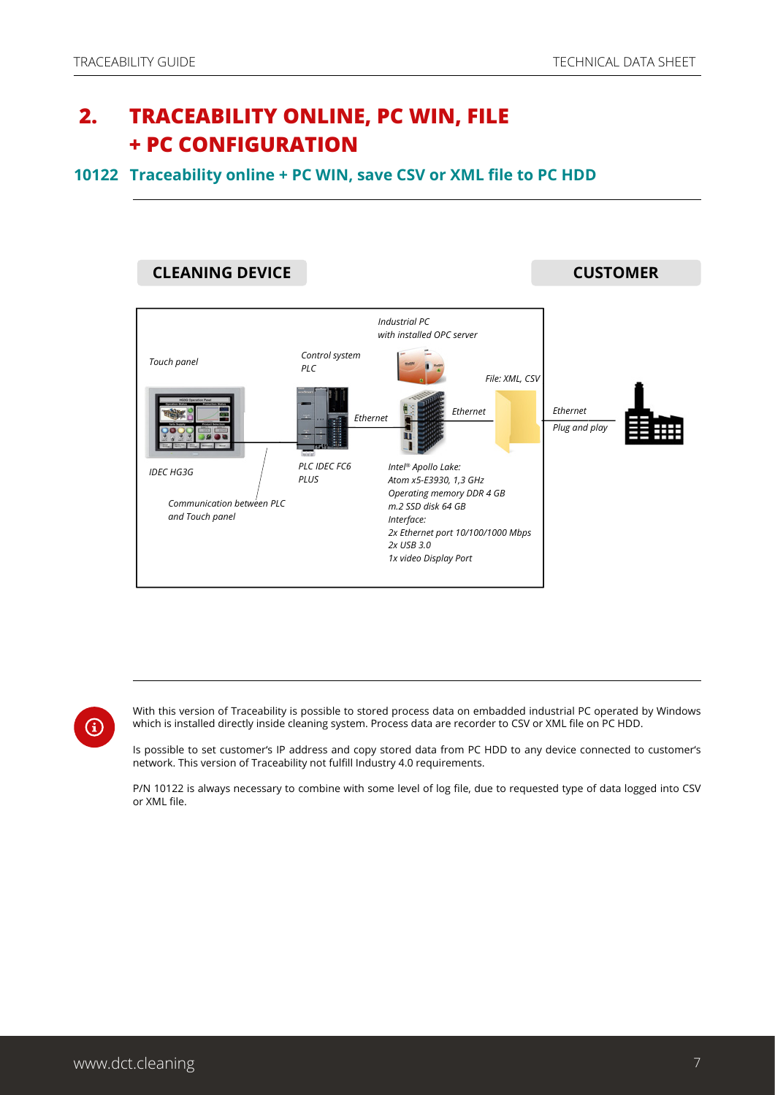## <span id="page-6-0"></span> **2. TRACEABILITY ONLINE, PC WIN, FILE + PC CONFIGURATION**

#### **10122 Traceability online + PC WIN, save CSV or XML file to PC HDD**



G

With this version of Traceability is possible to stored process data on embadded industrial PC operated by Windows which is installed directly inside cleaning system. Process data are recorder to CSV or XML file on PC HDD.

Is possible to set customer's IP address and copy stored data from PC HDD to any device connected to customer's network. This version of Traceability not fulfill Industry 4.0 requirements.

P/N 10122 is always necessary to combine with some level of log file, due to requested type of data logged into CSV or XML file.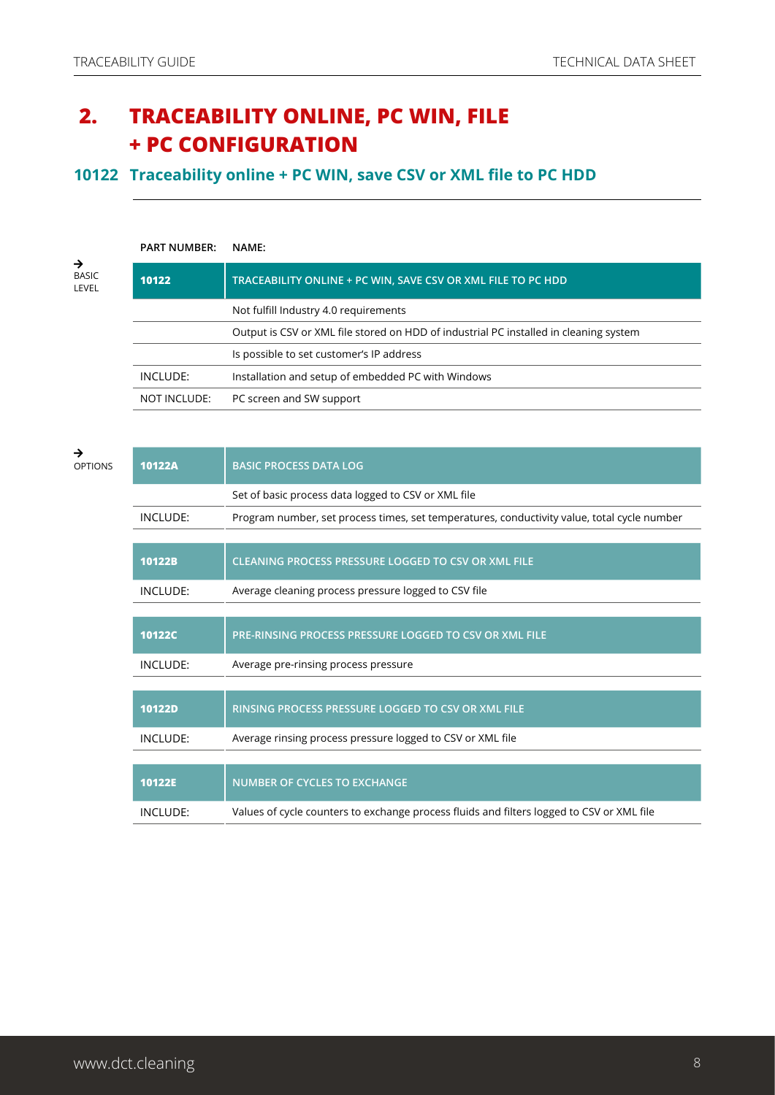## **2. TRACEABILITY ONLINE, PC WIN, FILE + PC CONFIGURATION**

#### **10122 Traceability online + PC WIN, save CSV or XML file to PC HDD**

|                                        | <b>PART NUMBER:</b> | NAME:                                                                                 |
|----------------------------------------|---------------------|---------------------------------------------------------------------------------------|
| $\rightarrow$<br><b>BASIC</b><br>LEVEL | 10122               | TRACEABILITY ONLINE + PC WIN, SAVE CSV OR XML FILE TO PC HDD                          |
|                                        |                     | Not fulfill Industry 4.0 requirements                                                 |
|                                        |                     | Output is CSV or XML file stored on HDD of industrial PC installed in cleaning system |
|                                        |                     | Is possible to set customer's IP address                                              |
|                                        | INCLUDE:            | Installation and setup of embedded PC with Windows                                    |
|                                        | NOT INCLUDE:        | PC screen and SW support                                                              |

| →<br><b>OPTIONS</b> | 10122A          | <b>BASIC PROCESS DATA LOG</b>                                                               |
|---------------------|-----------------|---------------------------------------------------------------------------------------------|
|                     |                 | Set of basic process data logged to CSV or XML file                                         |
|                     | INCLUDE:        | Program number, set process times, set temperatures, conductivity value, total cycle number |
|                     |                 |                                                                                             |
|                     | 10122B          | CLEANING PROCESS PRESSURE LOGGED TO CSV OR XML FILE                                         |
|                     | <b>INCLUDE:</b> | Average cleaning process pressure logged to CSV file                                        |
|                     |                 |                                                                                             |
|                     | <b>10122C</b>   | PRE-RINSING PROCESS PRESSURE LOGGED TO CSV OR XML FILE                                      |
|                     | INCLUDE:        | Average pre-rinsing process pressure                                                        |
|                     |                 |                                                                                             |
|                     | 10122D          | RINSING PROCESS PRESSURE LOGGED TO CSV OR XML FILE                                          |
|                     | INCLUDE:        | Average rinsing process pressure logged to CSV or XML file                                  |
|                     |                 |                                                                                             |
|                     | 10122E          | <b>NUMBER OF CYCLES TO EXCHANGE</b>                                                         |
|                     | INCLUDE:        | Values of cycle counters to exchange process fluids and filters logged to CSV or XML file   |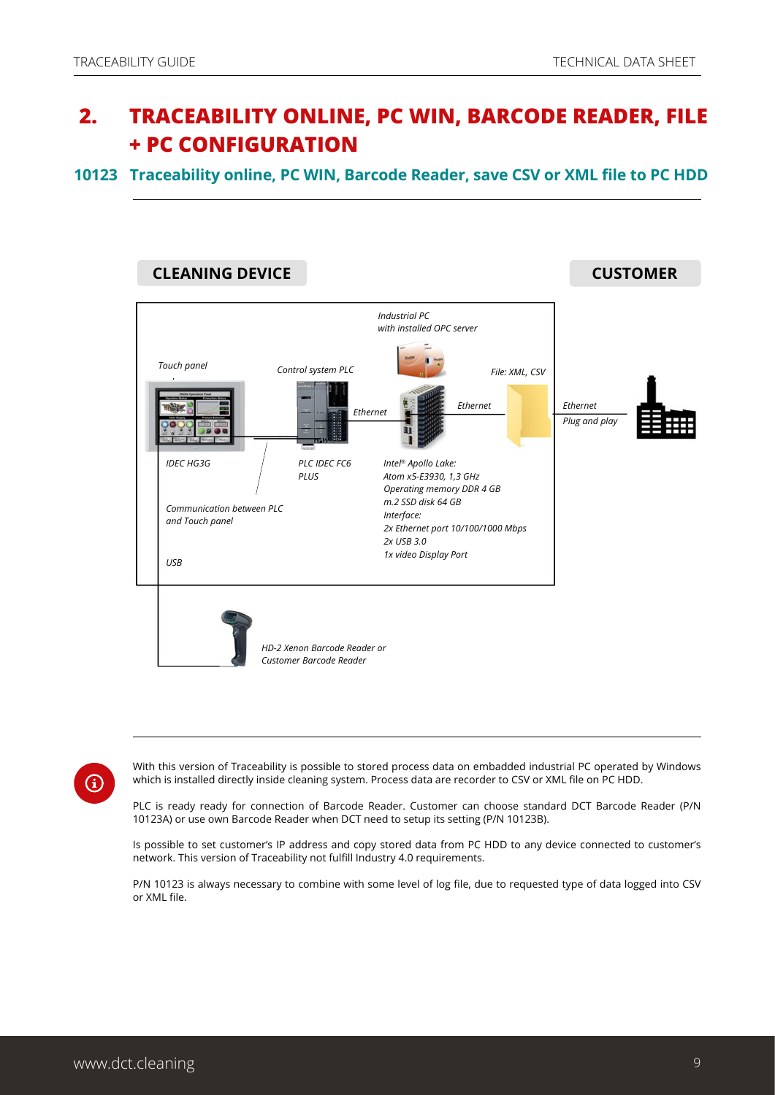## <span id="page-8-0"></span> **2. TRACEABILITY ONLINE, PC WIN, BARCODE READER, FILE + PC CONFIGURATION**

#### **10123 Traceability online, PC WIN, Barcode Reader, save CSV or XML file to PC HDD**



 $(i)$ 

With this version of Traceability is possible to stored process data on embadded industrial PC operated by Windows which is installed directly inside cleaning system. Process data are recorder to CSV or XML file on PC HDD.

PLC is ready ready for connection of Barcode Reader. Customer can choose standard DCT Barcode Reader (P/N 10123A) or use own Barcode Reader when DCT need to setup its setting (P/N 10123B).

Is possible to set customer's IP address and copy stored data from PC HDD to any device connected to customer's network. This version of Traceability not fulfill Industry 4.0 requirements.

P/N 10123 is always necessary to combine with some level of log file, due to requested type of data logged into CSV or XML file.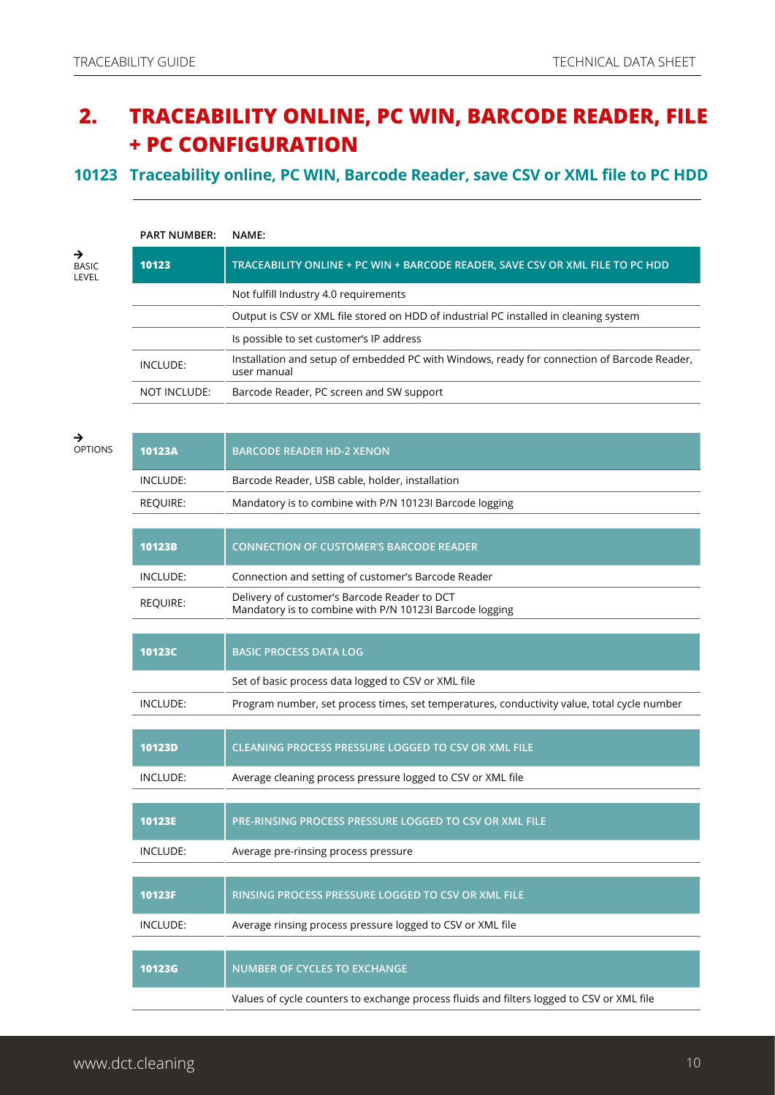## **2. TRACEABILITY ONLINE, PC WIN, BARCODE READER, FILE + PC CONFIGURATION**

#### **10123 Traceability online, PC WIN, Barcode Reader, save CSV or XML file to PC HDD**

| <b>PART NUMBER:</b> | <b>NAME:</b>                                                                                               |
|---------------------|------------------------------------------------------------------------------------------------------------|
| 10123               | TRACEABILITY ONLINE + PC WIN + BARCODE READER, SAVE CSV OR XML FILE TO PC HDD                              |
|                     | Not fulfill Industry 4.0 requirements                                                                      |
|                     | Output is CSV or XML file stored on HDD of industrial PC installed in cleaning system                      |
|                     | Is possible to set customer's IP address                                                                   |
| INCLUDE:            | Installation and setup of embedded PC with Windows, ready for connection of Barcode Reader,<br>user manual |
| NOT INCLUDE:        | Barcode Reader, PC screen and SW support                                                                   |
|                     |                                                                                                            |

| →<br><b>OPTIONS</b> | 10123A          | <b>BARCODE READER HD-2 XENON</b>                                                                        |
|---------------------|-----------------|---------------------------------------------------------------------------------------------------------|
|                     | INCLUDE:        | Barcode Reader, USB cable, holder, installation                                                         |
|                     | <b>REQUIRE:</b> | Mandatory is to combine with P/N 10123I Barcode logging                                                 |
|                     |                 |                                                                                                         |
|                     | 10123B          | <b>CONNECTION OF CUSTOMER'S BARCODE READER</b>                                                          |
|                     | INCLUDE:        | Connection and setting of customer's Barcode Reader                                                     |
|                     | <b>REQUIRE:</b> | Delivery of customer's Barcode Reader to DCT<br>Mandatory is to combine with P/N 10123I Barcode logging |
|                     |                 |                                                                                                         |
|                     | 10123C          | <b>BASIC PROCESS DATA LOG</b>                                                                           |
|                     |                 | Set of basic process data logged to CSV or XML file                                                     |
|                     | INCLUDE:        | Program number, set process times, set temperatures, conductivity value, total cycle number             |
|                     |                 |                                                                                                         |
|                     | 10123D          | <b>CLEANING PROCESS PRESSURE LOGGED TO CSV OR XML FILE</b>                                              |
|                     | INCLUDE:        | Average cleaning process pressure logged to CSV or XML file                                             |
|                     |                 |                                                                                                         |
|                     | 10123E          | PRE-RINSING PROCESS PRESSURE LOGGED TO CSV OR XML FILE                                                  |
|                     | INCLUDE:        | Average pre-rinsing process pressure                                                                    |
|                     |                 |                                                                                                         |
|                     | 10123F          | RINSING PROCESS PRESSURE LOGGED TO CSV OR XML FILE                                                      |
|                     | INCLUDE:        | Average rinsing process pressure logged to CSV or XML file                                              |
|                     |                 |                                                                                                         |
|                     | <b>10123G</b>   | <b>NUMBER OF CYCLES TO EXCHANGE</b>                                                                     |
|                     |                 | Values of cycle counters to exchange process fluids and filters logged to CSV or XML file               |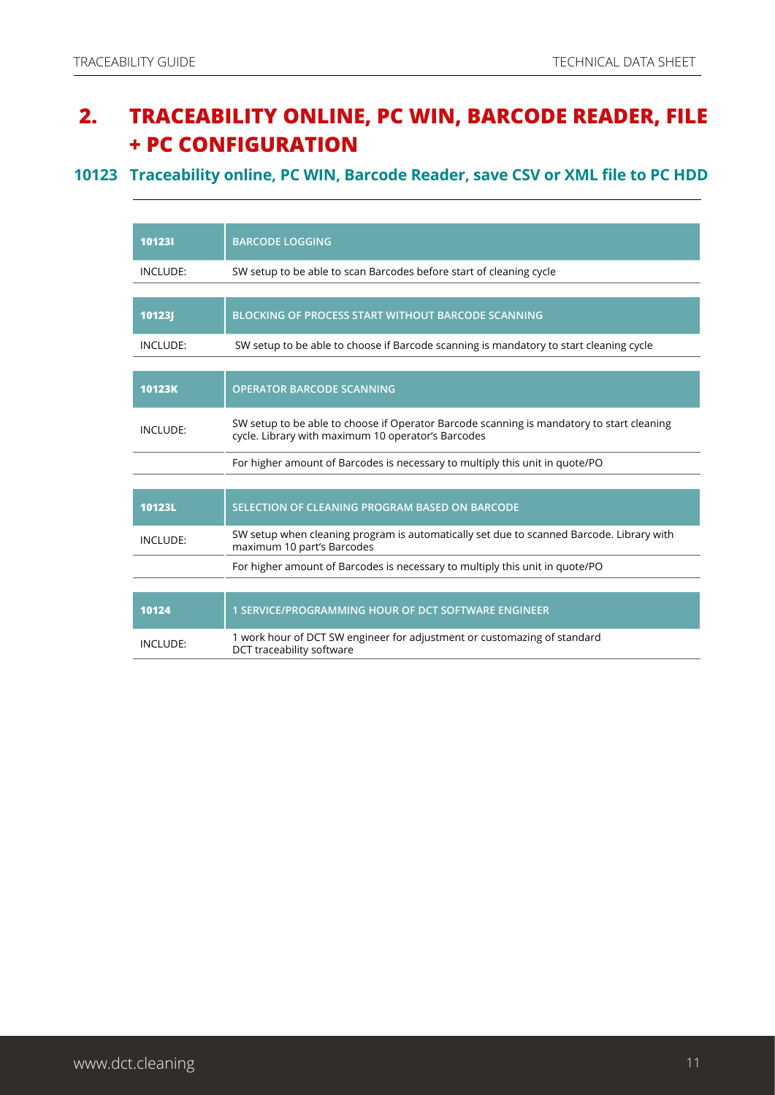## **2. TRACEABILITY ONLINE, PC WIN, BARCODE READER, FILE + PC CONFIGURATION**

#### **10123 Traceability online, PC WIN, Barcode Reader, save CSV or XML file to PC HDD**

| 101231   | <b>BARCODE LOGGING</b>                                                                                                                          |
|----------|-------------------------------------------------------------------------------------------------------------------------------------------------|
| INCLUDE: | SW setup to be able to scan Barcodes before start of cleaning cycle                                                                             |
|          |                                                                                                                                                 |
| 10123J   | <b>BLOCKING OF PROCESS START WITHOUT BARCODE SCANNING</b>                                                                                       |
| INCLUDE: | SW setup to be able to choose if Barcode scanning is mandatory to start cleaning cycle                                                          |
|          |                                                                                                                                                 |
| 10123K   | <b>OPERATOR BARCODE SCANNING</b>                                                                                                                |
| INCLUDE: | SW setup to be able to choose if Operator Barcode scanning is mandatory to start cleaning<br>cycle. Library with maximum 10 operator's Barcodes |
|          | For higher amount of Barcodes is necessary to multiply this unit in quote/PO                                                                    |
|          |                                                                                                                                                 |
| 10123L   | SELECTION OF CLEANING PROGRAM BASED ON BARCODE                                                                                                  |
| INCLUDE: | SW setup when cleaning program is automatically set due to scanned Barcode. Library with<br>maximum 10 part's Barcodes                          |
|          | For higher amount of Barcodes is necessary to multiply this unit in quote/PO                                                                    |
|          |                                                                                                                                                 |
| 10124    | 1 SERVICE/PROGRAMMING HOUR OF DCT SOFTWARE ENGINEER                                                                                             |
| INCLUDE: | 1 work hour of DCT SW engineer for adjustment or customazing of standard<br>DCT traceability software                                           |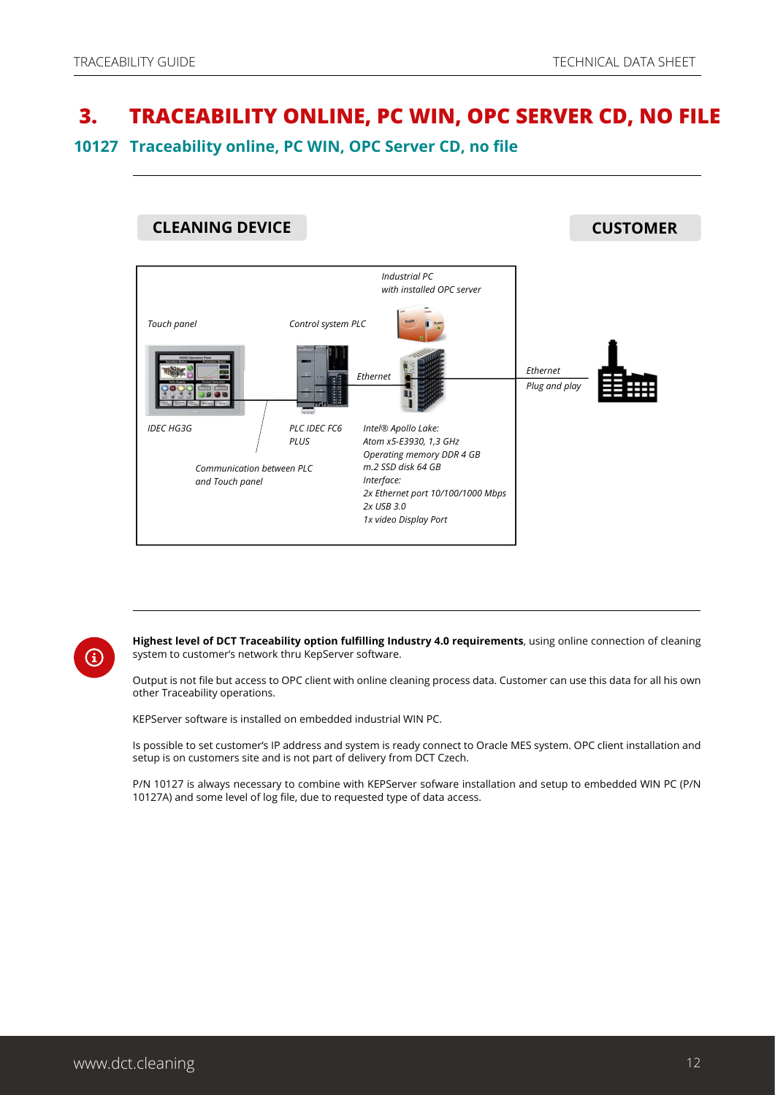## <span id="page-11-0"></span> **3. TRACEABILITY ONLINE, PC WIN, OPC SERVER CD, NO FILE**

#### **10127 Traceability online, PC WIN, OPC Server CD, no file**





**Highest level of DCT Traceability option fulfilling Industry 4.0 requirements**, using online connection of cleaning system to customer's network thru KepServer software.

Output is not file but access to OPC client with online cleaning process data. Customer can use this data for all his own other Traceability operations.

KEPServer software is installed on embedded industrial WIN PC.

Is possible to set customer's IP address and system is ready connect to Oracle MES system. OPC client installation and setup is on customers site and is not part of delivery from DCT Czech.

P/N 10127 is always necessary to combine with KEPServer sofware installation and setup to embedded WIN PC (P/N 10127A) and some level of log file, due to requested type of data access.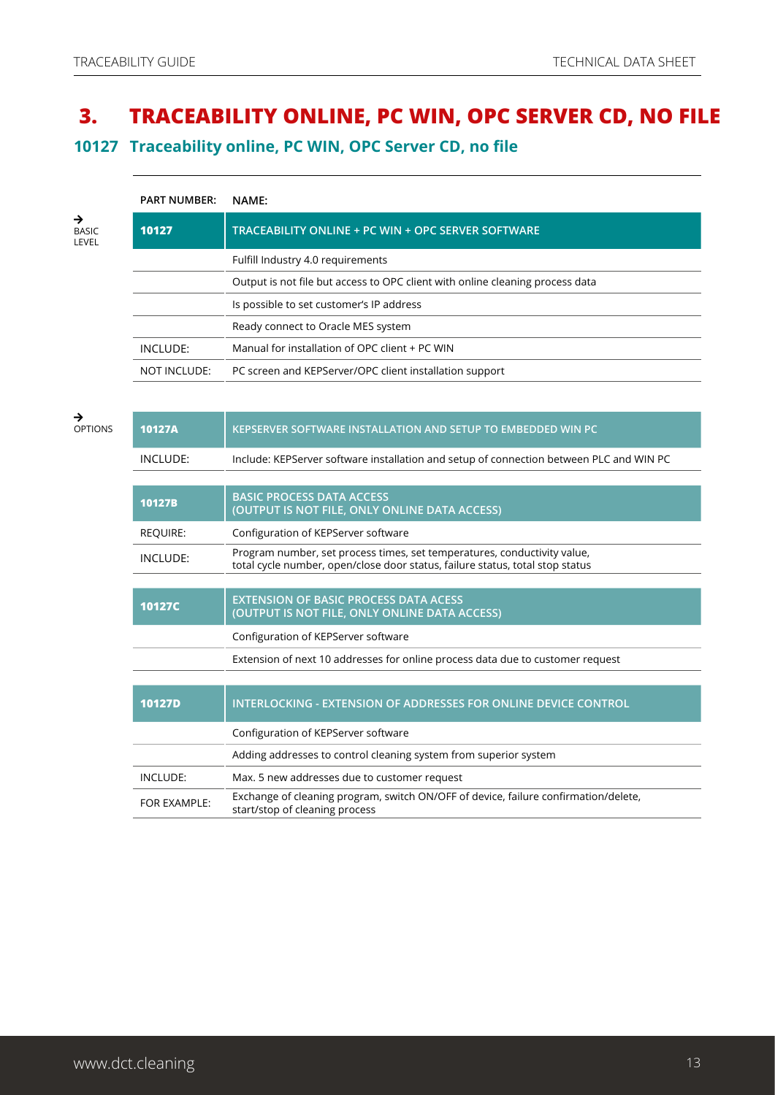## **3. TRACEABILITY ONLINE, PC WIN, OPC SERVER CD, NO FILE**

**10127 Traceability online, PC WIN, OPC Server CD, no file**

| <b>PART NUMBER:</b> | <b>NAME:</b>                                                                  |
|---------------------|-------------------------------------------------------------------------------|
| 10127               | TRACEABILITY ONLINE + PC WIN + OPC SERVER SOFTWARE                            |
|                     | Fulfill Industry 4.0 requirements                                             |
|                     | Output is not file but access to OPC client with online cleaning process data |
|                     | Is possible to set customer's IP address                                      |
|                     | Ready connect to Oracle MES system                                            |
| INCLUDE:            | Manual for installation of OPC client + PC WIN                                |
| NOT INCLUDE:        | PC screen and KEPServer/OPC client installation support                       |
|                     |                                                                               |

#### $\rightarrow$ OPTIONS

| 10127A          | KEPSERVER SOFTWARE INSTALLATION AND SETUP TO EMBEDDED WIN PC                                                                                              |
|-----------------|-----------------------------------------------------------------------------------------------------------------------------------------------------------|
| <b>INCLUDE:</b> | Include: KEPServer software installation and setup of connection between PLC and WIN PC                                                                   |
|                 |                                                                                                                                                           |
| 10127B          | <b>BASIC PROCESS DATA ACCESS</b><br>(OUTPUT IS NOT FILE, ONLY ONLINE DATA ACCESS)                                                                         |
| <b>REQUIRE:</b> | Configuration of KEPServer software                                                                                                                       |
| <b>INCLUDE:</b> | Program number, set process times, set temperatures, conductivity value,<br>total cycle number, open/close door status, failure status, total stop status |
|                 |                                                                                                                                                           |
| <b>10127C</b>   | <b>EXTENSION OF BASIC PROCESS DATA ACESS</b><br>(OUTPUT IS NOT FILE, ONLY ONLINE DATA ACCESS)                                                             |
|                 |                                                                                                                                                           |
|                 | Configuration of KEPServer software                                                                                                                       |
|                 | Extension of next 10 addresses for online process data due to customer request                                                                            |
|                 |                                                                                                                                                           |
| <b>10127D</b>   | <b>INTERLOCKING - EXTENSION OF ADDRESSES FOR ONLINE DEVICE CONTROL</b>                                                                                    |
|                 | Configuration of KEPServer software                                                                                                                       |
|                 | Adding addresses to control cleaning system from superior system                                                                                          |
| INCLUDE:        | Max. 5 new addresses due to customer request                                                                                                              |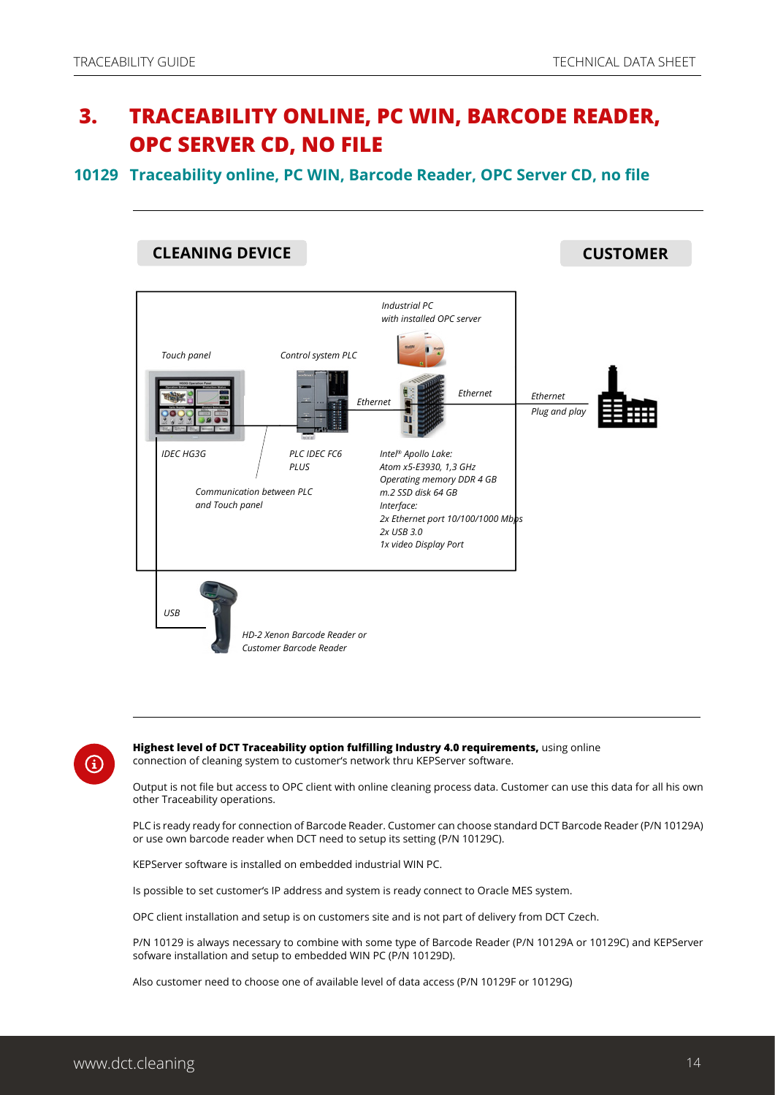## <span id="page-13-0"></span> **3. TRACEABILITY ONLINE, PC WIN, BARCODE READER, OPC SERVER CD, NO FILE**

**10129 Traceability online, PC WIN, Barcode Reader, OPC Server CD, no file**





**Highest level of DCT Traceability option fulfilling Industry 4.0 requirements,** using online connection of cleaning system to customer's network thru KEPServer software.

Output is not file but access to OPC client with online cleaning process data. Customer can use this data for all his own other Traceability operations.

PLC is ready ready for connection of Barcode Reader. Customer can choose standard DCT Barcode Reader (P/N 10129A) or use own barcode reader when DCT need to setup its setting (P/N 10129C).

KEPServer software is installed on embedded industrial WIN PC.

Is possible to set customer's IP address and system is ready connect to Oracle MES system.

OPC client installation and setup is on customers site and is not part of delivery from DCT Czech.

P/N 10129 is always necessary to combine with some type of Barcode Reader (P/N 10129A or 10129C) and KEPServer sofware installation and setup to embedded WIN PC (P/N 10129D).

Also customer need to choose one of available level of data access (P/N 10129F or 10129G)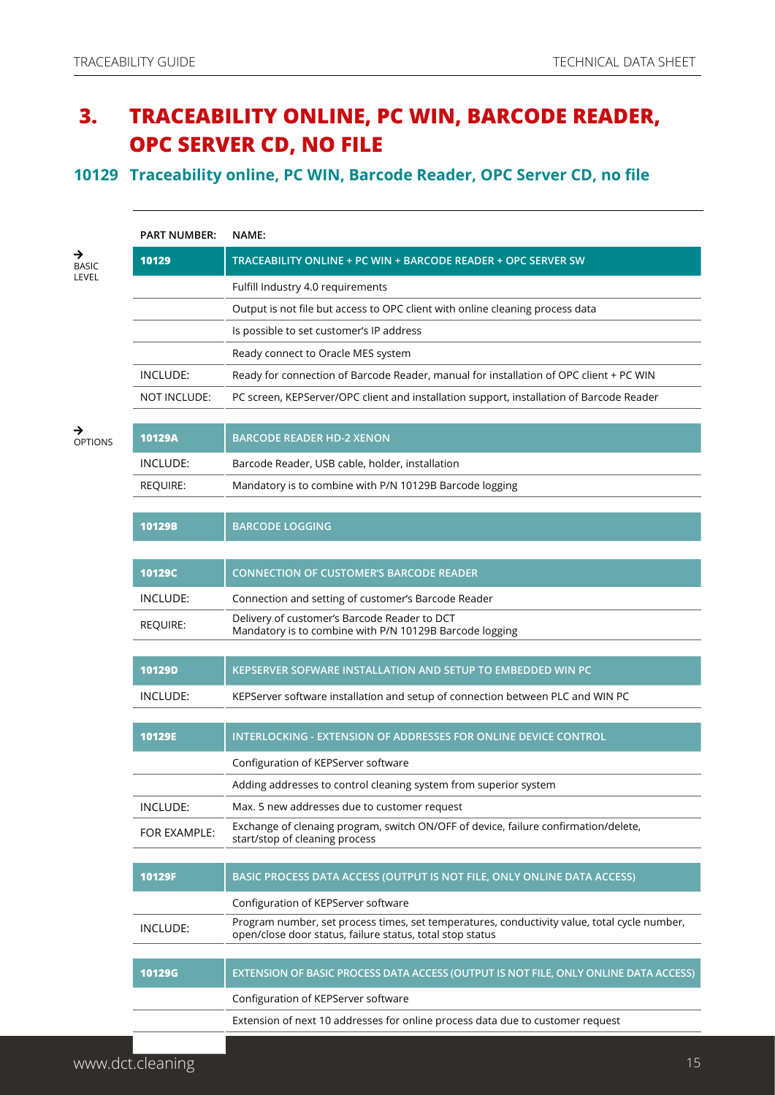## **3. TRACEABILITY ONLINE, PC WIN, BARCODE READER, OPC SERVER CD, NO FILE**

#### **10129 Traceability online, PC WIN, Barcode Reader, OPC Server CD, no file**

|                     | <b>PART NUMBER:</b> | NAME:                                                                                                                                                     |
|---------------------|---------------------|-----------------------------------------------------------------------------------------------------------------------------------------------------------|
| →<br><b>BASIC</b>   | 10129               | TRACEABILITY ONLINE + PC WIN + BARCODE READER + OPC SERVER SW                                                                                             |
| LEVEL               |                     | Fulfill Industry 4.0 requirements                                                                                                                         |
|                     |                     | Output is not file but access to OPC client with online cleaning process data                                                                             |
|                     |                     | Is possible to set customer's IP address                                                                                                                  |
|                     |                     | Ready connect to Oracle MES system                                                                                                                        |
|                     | INCLUDE:            | Ready for connection of Barcode Reader, manual for installation of OPC client + PC WIN                                                                    |
|                     | NOT INCLUDE:        | PC screen, KEPServer/OPC client and installation support, installation of Barcode Reader                                                                  |
| →<br><b>OPTIONS</b> | 10129A              | <b>BARCODE READER HD-2 XENON</b>                                                                                                                          |
|                     | INCLUDE:            | Barcode Reader, USB cable, holder, installation                                                                                                           |
|                     | <b>REQUIRE:</b>     | Mandatory is to combine with P/N 10129B Barcode logging                                                                                                   |
|                     | 10129B              | <b>BARCODE LOGGING</b>                                                                                                                                    |
|                     |                     |                                                                                                                                                           |
|                     | 10129C              | <b>CONNECTION OF CUSTOMER'S BARCODE READER</b>                                                                                                            |
|                     | INCLUDE:            | Connection and setting of customer's Barcode Reader                                                                                                       |
|                     | REQUIRE:            | Delivery of customer's Barcode Reader to DCT<br>Mandatory is to combine with P/N 10129B Barcode logging                                                   |
|                     | 10129D              | KEPSERVER SOFWARE INSTALLATION AND SETUP TO EMBEDDED WIN PC                                                                                               |
|                     | INCLUDE:            | KEPServer software installation and setup of connection between PLC and WIN PC                                                                            |
|                     |                     |                                                                                                                                                           |
|                     | 10129E              | INTERLOCKING - EXTENSION OF ADDRESSES FOR ONLINE DEVICE CONTROL                                                                                           |
|                     |                     | Configuration of KEPServer software                                                                                                                       |
|                     |                     | Adding addresses to control cleaning system from superior system                                                                                          |
|                     | INCLUDE:            | Max. 5 new addresses due to customer request                                                                                                              |
|                     | FOR EXAMPLE:        | Exchange of clenaing program, switch ON/OFF of device, failure confirmation/delete,<br>start/stop of cleaning process                                     |
|                     | 10129F              |                                                                                                                                                           |
|                     |                     | BASIC PROCESS DATA ACCESS (OUTPUT IS NOT FILE, ONLY ONLINE DATA ACCESS)                                                                                   |
|                     |                     | Configuration of KEPServer software                                                                                                                       |
|                     | INCLUDE:            | Program number, set process times, set temperatures, conductivity value, total cycle number,<br>open/close door status, failure status, total stop status |
|                     | <b>10129G</b>       | EXTENSION OF BASIC PROCESS DATA ACCESS (OUTPUT IS NOT FILE, ONLY ONLINE DATA ACCESS)                                                                      |
|                     |                     | Configuration of KEPServer software                                                                                                                       |
|                     |                     | Extension of next 10 addresses for online process data due to customer request                                                                            |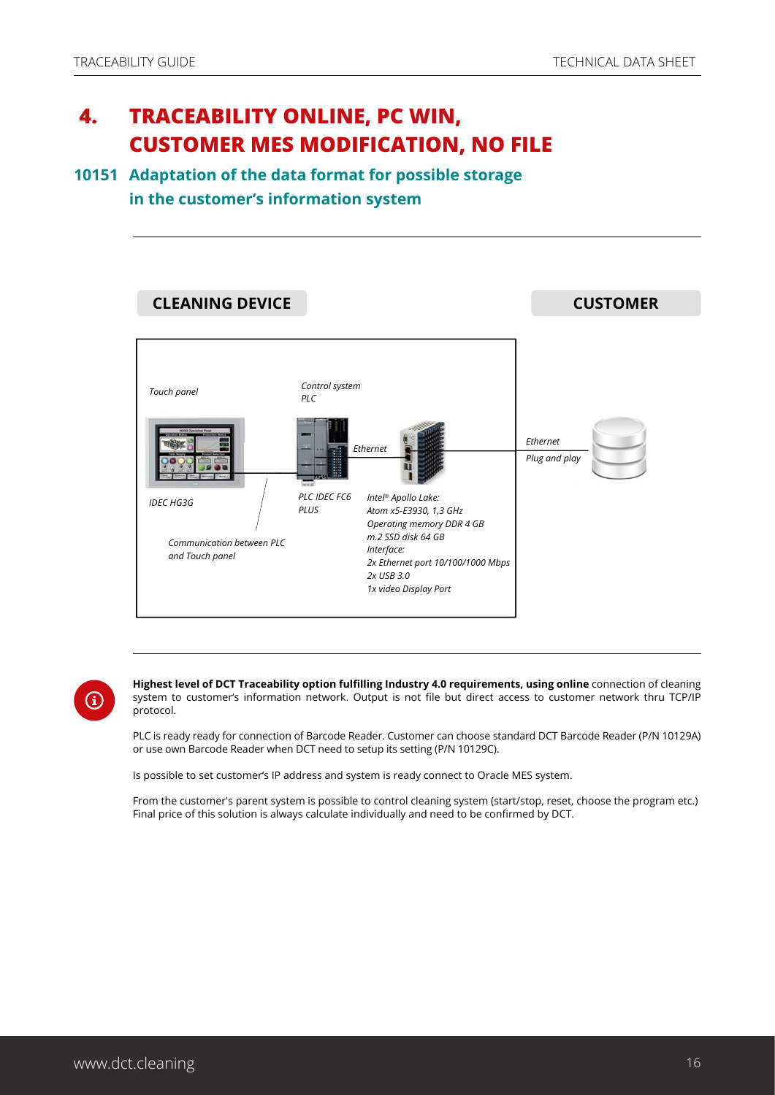## **4. TRACEABILITY ONLINE, PC WIN, CUSTOMER MES MODIFICATION, NO FILE**

#### **10151 Adaptation of the data format for possible storage in the customer's information system**



**Highest level of DCT Traceability option fulfilling Industry 4.0 requirements, using online** connection of cleaning system to customer's information network. Output is not file but direct access to customer network thru TCP/IP protocol.

PLC is ready ready for connection of Barcode Reader. Customer can choose standard DCT Barcode Reader (P/N 10129A) or use own Barcode Reader when DCT need to setup its setting (P/N 10129C).

Is possible to set customer's IP address and system is ready connect to Oracle MES system.

From the customer's parent system is possible to control cleaning system (start/stop, reset, choose the program etc.) Final price of this solution is always calculate individually and need to be confirmed by DCT.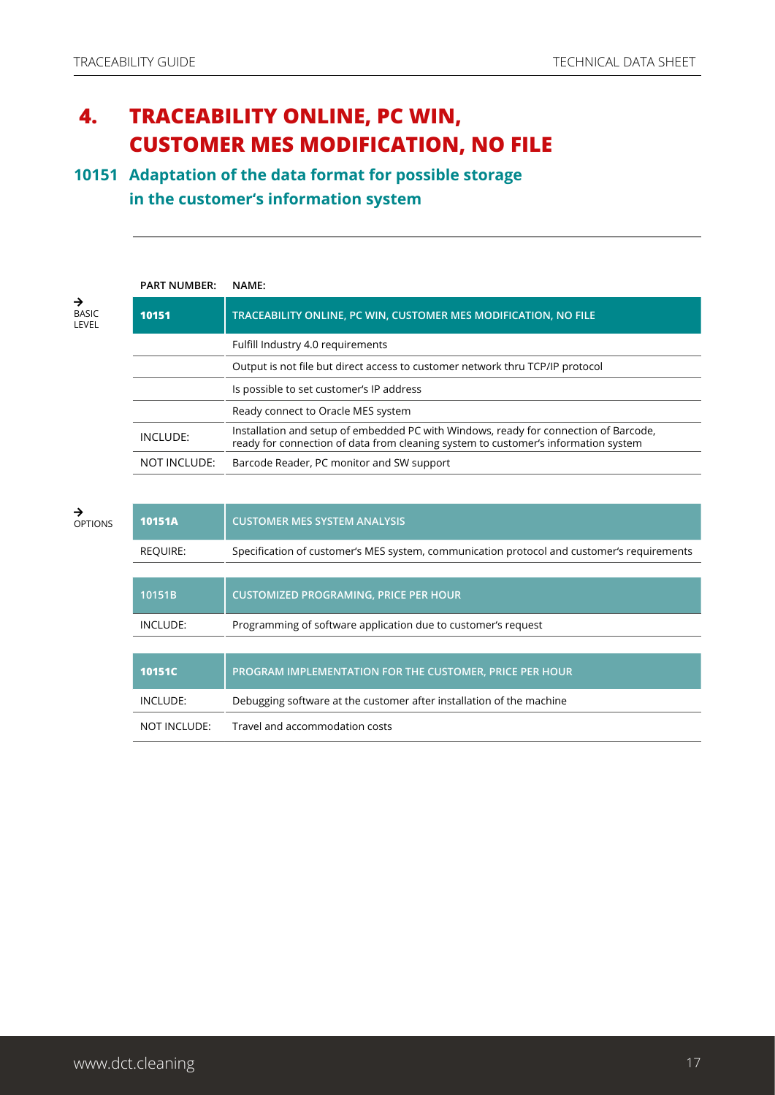## **4. TRACEABILITY ONLINE, PC WIN, CUSTOMER MES MODIFICATION, NO FILE**

### **10151 Adaptation of the data format for possible storage in the customer's information system**

|                            | <b>PART NUMBER:</b> | NAME:                                                                                                                                                                      |
|----------------------------|---------------------|----------------------------------------------------------------------------------------------------------------------------------------------------------------------------|
| →<br><b>BASIC</b><br>LEVEL | 10151               | TRACEABILITY ONLINE, PC WIN, CUSTOMER MES MODIFICATION, NO FILE                                                                                                            |
|                            |                     | Fulfill Industry 4.0 requirements                                                                                                                                          |
|                            |                     | Output is not file but direct access to customer network thru TCP/IP protocol                                                                                              |
|                            |                     | Is possible to set customer's IP address                                                                                                                                   |
|                            |                     | Ready connect to Oracle MES system                                                                                                                                         |
|                            | INCLUDE:            | Installation and setup of embedded PC with Windows, ready for connection of Barcode,<br>ready for connection of data from cleaning system to customer's information system |
|                            | NOT INCLUDE:        | Barcode Reader, PC monitor and SW support                                                                                                                                  |
|                            |                     |                                                                                                                                                                            |

| →<br><b>OPTIONS</b> | 10151A          | <b>CUSTOMER MES SYSTEM ANALYSIS</b>                                                        |
|---------------------|-----------------|--------------------------------------------------------------------------------------------|
|                     | <b>REQUIRE:</b> | Specification of customer's MES system, communication protocol and customer's requirements |
|                     |                 |                                                                                            |
|                     | 10151B          | <b>CUSTOMIZED PROGRAMING, PRICE PER HOUR</b>                                               |
|                     | INCLUDE:        | Programming of software application due to customer's request                              |
|                     |                 |                                                                                            |
|                     | 10151C          | PROGRAM IMPLEMENTATION FOR THE CUSTOMER, PRICE PER HOUR                                    |
|                     | INCLUDE:        | Debugging software at the customer after installation of the machine                       |
|                     | NOT INCLUDE:    | Travel and accommodation costs                                                             |
|                     |                 |                                                                                            |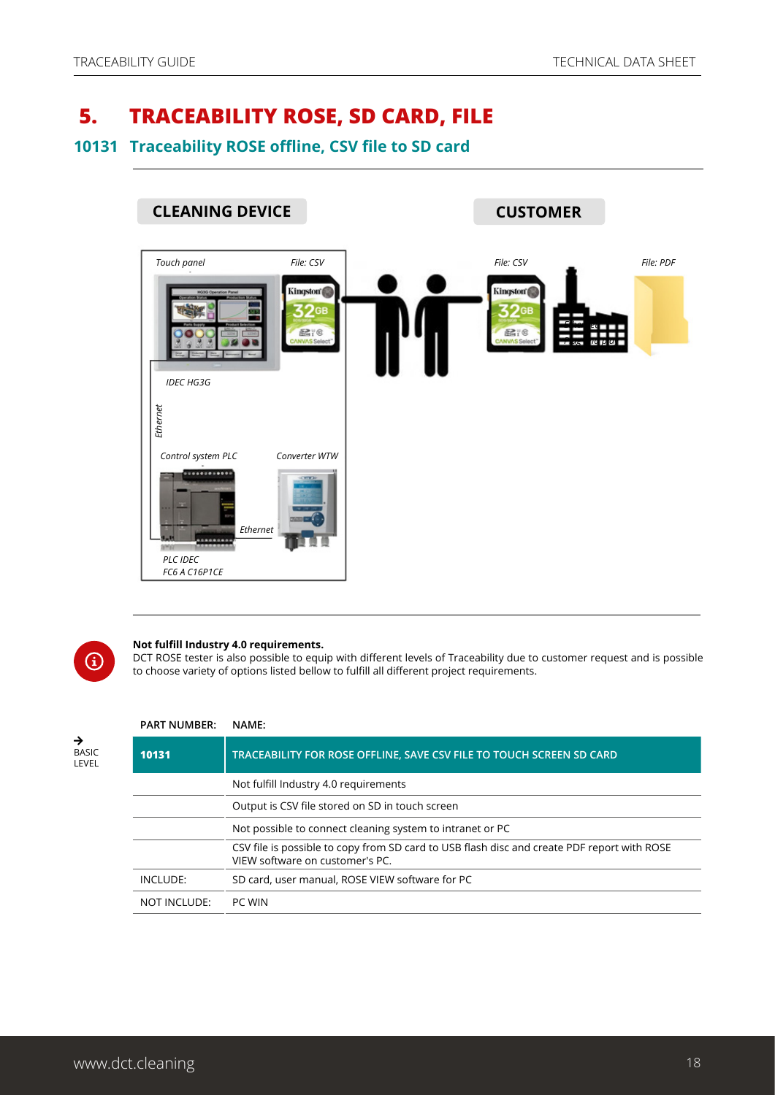## <span id="page-17-0"></span> **5. TRACEABILITY ROSE, SD CARD, FILE**

#### **10131 Traceability ROSE offline, CSV file to SD card**





#### **Not fulfill Industry 4.0 requirements.**

DCT ROSE tester is also possible to equip with different levels of Traceability due to customer request and is possible to choose variety of options listed bellow to fulfill all different project requirements.

#### $\rightarrow$ **BASIC** LEVEL

#### **PART NUMBER: NAME: 10131 TRACEABILITY FOR ROSE OFFLINE, SAVE CSV FILE TO TOUCH SCREEN SD CARD** Not fulfill Industry 4.0 requirements Output is CSV file stored on SD in touch screen Not possible to connect cleaning system to intranet or PC CSV file is possible to copy from SD card to USB flash disc and create PDF report with ROSE VIEW software on customer's PC. INCLUDE: SD card, user manual, ROSE VIEW software for PC NOT INCLUDE: PC WIN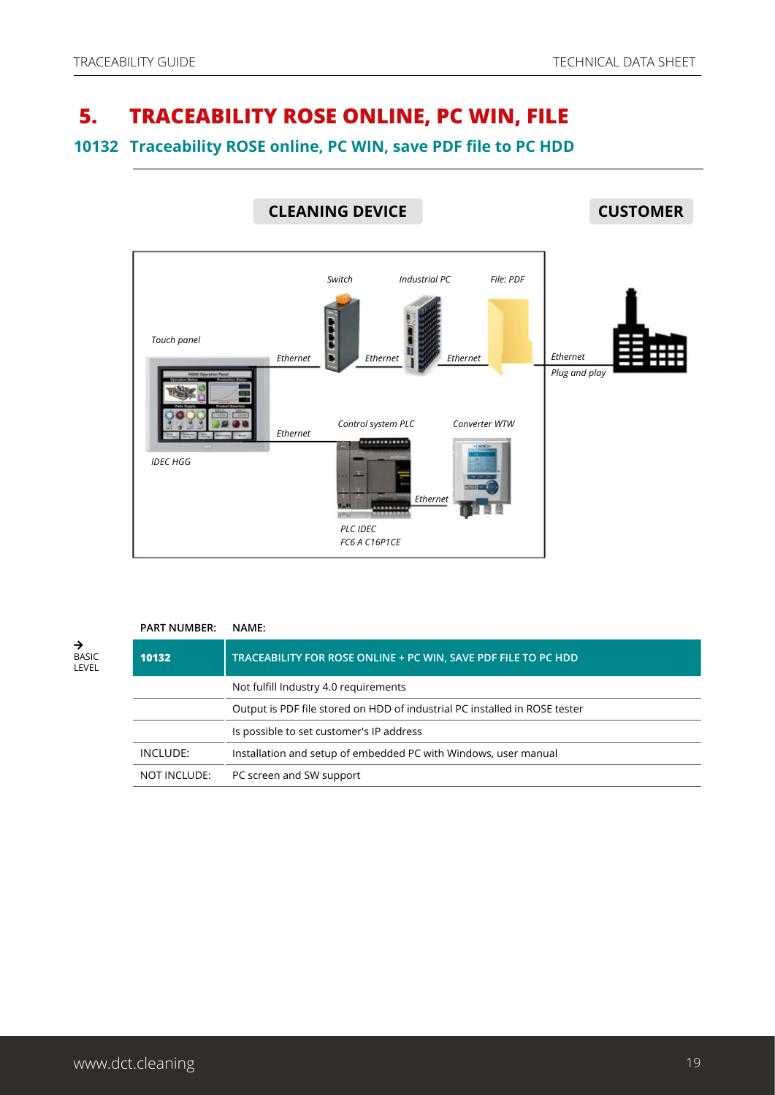## <span id="page-18-0"></span> **5. TRACEABILITY ROSE ONLINE, PC WIN, FILE**

#### **10132 Traceability ROSE online, PC WIN, save PDF file to PC HDD**



|                            | <b>PART NUMBER:</b> | NAME:                                                                      |
|----------------------------|---------------------|----------------------------------------------------------------------------|
| →<br><b>BASIC</b><br>LEVEL | 10132               | TRACEABILITY FOR ROSE ONLINE + PC WIN, SAVE PDF FILE TO PC HDD             |
|                            |                     | Not fulfill Industry 4.0 requirements                                      |
|                            |                     | Output is PDF file stored on HDD of industrial PC installed in ROSE tester |
|                            |                     | Is possible to set customer's IP address                                   |
|                            | INCLUDE:            | Installation and setup of embedded PC with Windows, user manual            |
|                            | NOT INCLUDE:        | PC screen and SW support                                                   |
|                            |                     |                                                                            |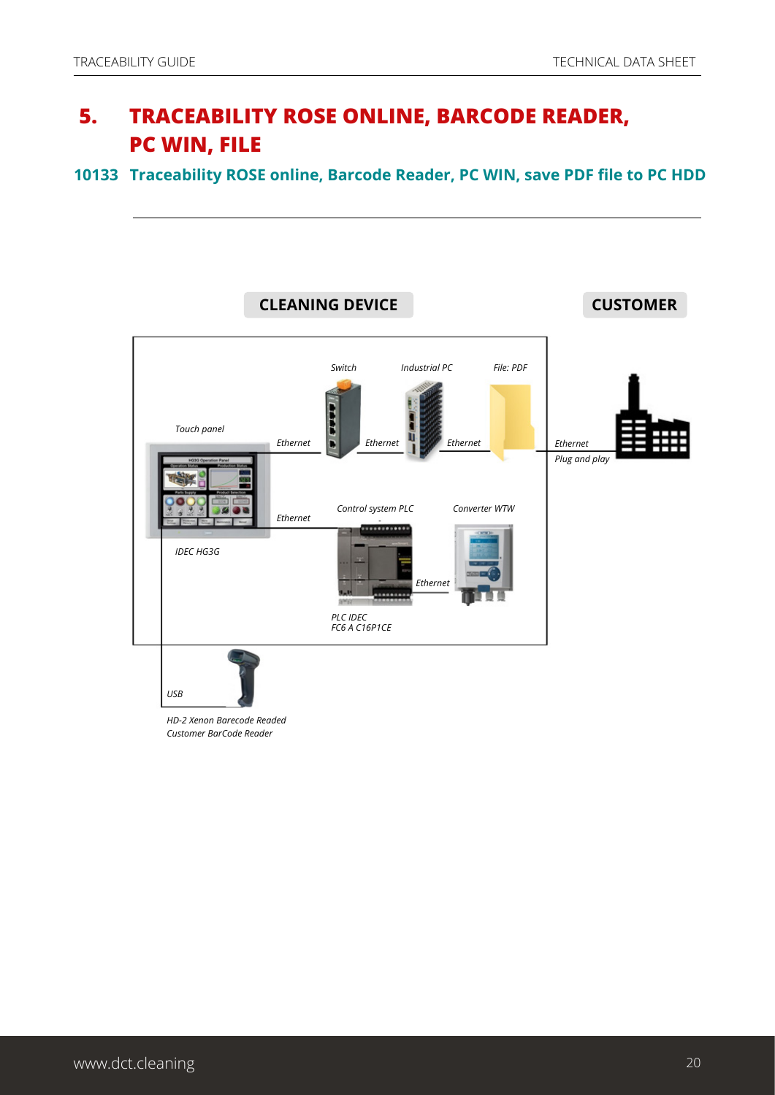## **5. TRACEABILITY ROSE ONLINE, BARCODE READER, PC WIN, FILE**

**10133 Traceability ROSE online, Barcode Reader, PC WIN, save PDF file to PC HDD**

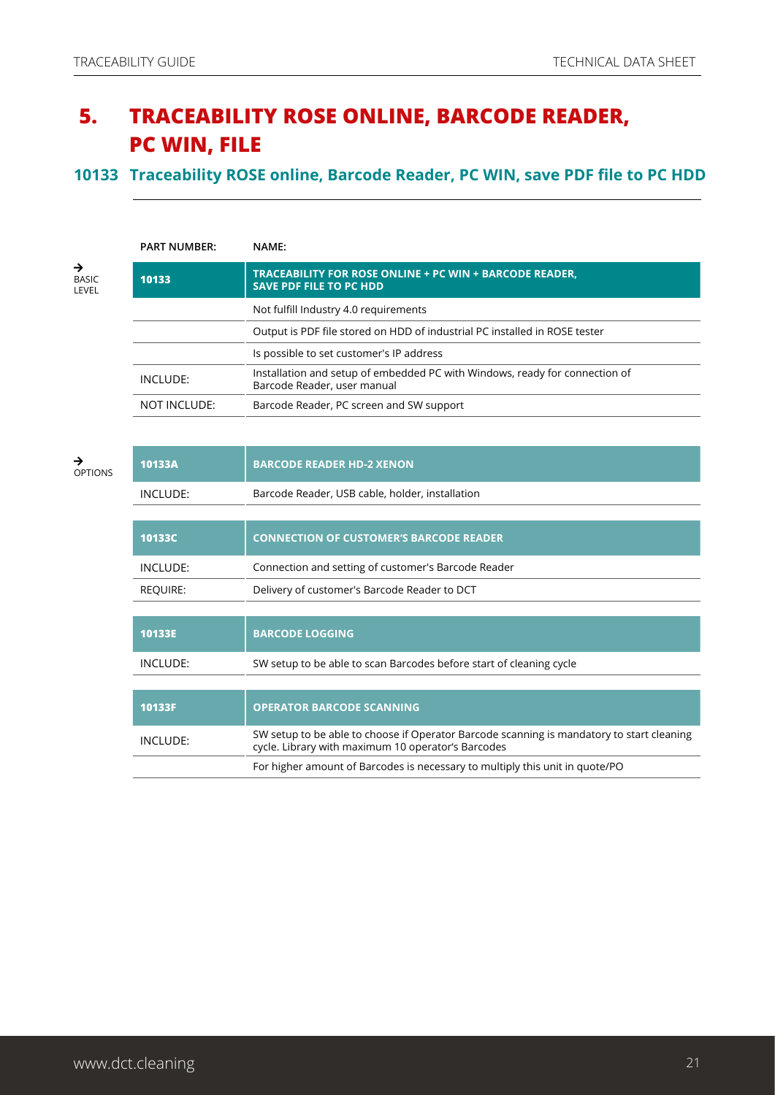## **5. TRACEABILITY ROSE ONLINE, BARCODE READER, PC WIN, FILE**

#### **10133 Traceability ROSE online, Barcode Reader, PC WIN, save PDF file to PC HDD**

| <b>PART NUMBER:</b> | NAME:                                                                                                      |  |
|---------------------|------------------------------------------------------------------------------------------------------------|--|
| 10133               | TRACEABILITY FOR ROSE ONLINE + PC WIN + BARCODE READER,<br><b>SAVE PDF FILE TO PC HDD</b>                  |  |
|                     | Not fulfill Industry 4.0 requirements                                                                      |  |
|                     | Output is PDF file stored on HDD of industrial PC installed in ROSE tester                                 |  |
|                     | Is possible to set customer's IP address                                                                   |  |
| INCLUDE:            | Installation and setup of embedded PC with Windows, ready for connection of<br>Barcode Reader, user manual |  |
| NOT INCLUDE:        | Barcode Reader, PC screen and SW support                                                                   |  |

| →<br><b>OPTIONS</b> | 10133A   | <b>BARCODE READER HD-2 XENON</b>                                                                                                                |
|---------------------|----------|-------------------------------------------------------------------------------------------------------------------------------------------------|
|                     | INCLUDE: | Barcode Reader, USB cable, holder, installation                                                                                                 |
|                     |          |                                                                                                                                                 |
|                     | 10133C   | <b>CONNECTION OF CUSTOMER'S BARCODE READER</b>                                                                                                  |
|                     | INCLUDE: | Connection and setting of customer's Barcode Reader                                                                                             |
|                     | REQUIRE: | Delivery of customer's Barcode Reader to DCT                                                                                                    |
|                     |          |                                                                                                                                                 |
|                     | 10133E   | <b>BARCODE LOGGING</b>                                                                                                                          |
|                     | INCLUDE: | SW setup to be able to scan Barcodes before start of cleaning cycle                                                                             |
|                     |          |                                                                                                                                                 |
|                     | 10133F   | <b>OPERATOR BARCODE SCANNING</b>                                                                                                                |
|                     | INCLUDE: | SW setup to be able to choose if Operator Barcode scanning is mandatory to start cleaning<br>cycle. Library with maximum 10 operator's Barcodes |
|                     |          | For higher amount of Barcodes is necessary to multiply this unit in quote/PO                                                                    |